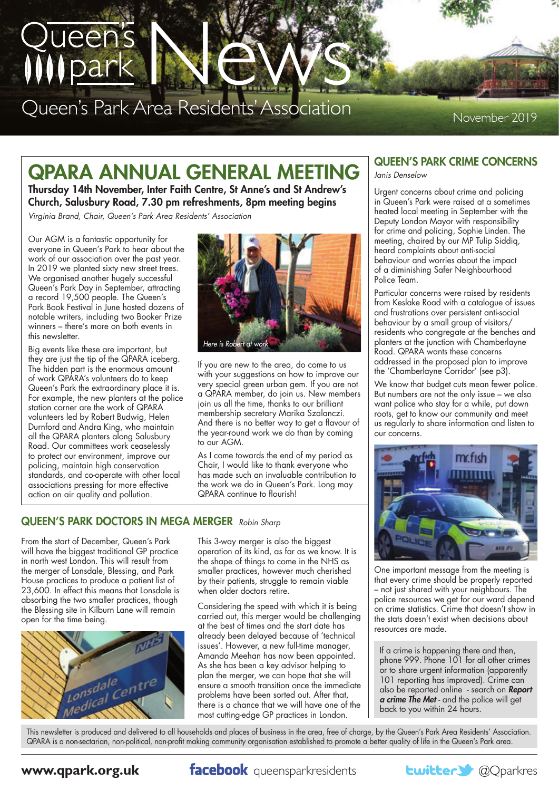

# QPARA ANNUAL GENERAL MEETING

Thursday 14th November, Inter Faith Centre, St Anne's and St Andrew's Church, Salusbury Road, 7.30 pm refreshments, 8pm meeting begins

*Virginia Brand, Chair, Queen's Park Area Residents' Association*

Our AGM is a fantastic opportunity for everyone in Queen's Park to hear about the work of our association over the past year. In 2019 we planted sixty new street trees. We organised another hugely successful Queen's Park Day in September, attracting a record 19,500 people. The Queen's Park Book Festival in June hosted dozens of notable writers, including two Booker Prize winners – there's more on both events in this newsletter.

Big events like these are important, but they are just the tip of the QPARA iceberg. The hidden part is the enormous amount of work QPARA's volunteers do to keep Queen's Park the extraordinary place it is. For example, the new planters at the police station corner are the work of QPARA volunteers led by Robert Budwig, Helen Durnford and Andra King, who maintain all the QPARA planters along Salusbury Road. Our committees work ceaselessly to protect our environment, improve our policing, maintain high conservation standards, and co-operate with other local associations pressing for more effective action on air quality and pollution.



If you are new to the area, do come to us with your suggestions on how to improve our very special green urban gem. If you are not a QPARA member, do join us. New members join us all the time, thanks to our brilliant membership secretary Marika Szalanczi. And there is no better way to get a flavour of the year-round work we do than by coming to our AGM.

As I come towards the end of my period as Chair, I would like to thank everyone who has made such an invaluable contribution to the work we do in Queen's Park. Long may QPARA continue to flourish!

## QUEEN'S PARK DOCTORS IN MEGA MERGER *Robin Sharp*

From the start of December, Queen's Park will have the biggest traditional GP practice in north west London. This will result from the merger of Lonsdale, Blessing, and Park House practices to produce a patient list of 23,600. In effect this means that Lonsdale is absorbing the two smaller practices, though the Blessing site in Kilburn Lane will remain open for the time being.



This 3-way merger is also the biggest operation of its kind, as far as we know. It is the shape of things to come in the NHS as smaller practices, however much cherished by their patients, struggle to remain viable when older doctors retire.

Considering the speed with which it is being carried out, this merger would be challenging at the best of times and the start date has already been delayed because of 'technical issues'. However, a new full-time manager, Amanda Meehan has now been appointed. As she has been a key advisor helping to plan the merger, we can hope that she will ensure a smooth transition once the immediate problems have been sorted out. After that, there is a chance that we will have one of the most cutting-edge GP practices in London.

## QUEEN'S PARK CRIME CONCERNS

*Janis Denselow*

Urgent concerns about crime and policing in Queen's Park were raised at a sometimes heated local meeting in September with the Deputy London Mayor with responsibility for crime and policing, Sophie Linden. The meeting, chaired by our MP Tulip Siddiq, heard complaints about anti-social behaviour and worries about the impact of a diminishing Safer Neighbourhood Police Team.

Particular concerns were raised by residents from Keslake Road with a catalogue of issues and frustrations over persistent anti-social behaviour by a small group of visitors/ residents who congregate at the benches and planters at the junction with Chamberlayne Road. QPARA wants these concerns addressed in the proposed plan to improve the 'Chamberlayne Corridor' (see p3).

We know that budget cuts mean fewer police. But numbers are not the only issue – we also want police who stay for a while, put down roots, get to know our community and meet us regularly to share information and listen to our concerns.



One important message from the meeting is that every crime should be properly reported – not just shared with your neighbours. The police resources we get for our ward depend on crime statistics. Crime that doesn't show in the stats doesn't exist when decisions about resources are made.

If a crime is happening there and then, phone 999. Phone 101 for all other crimes or to share urgent information (apparently 101 reporting has improved). Crime can also be reported online - search on *Report a crime The Met* - and the police will get back to you within 24 hours.

This newsletter is produced and delivered to all households and places of business in the area, free of charge, by the Queen's Park Area Residents' Association. QPARA is a non-sectarian, non-political, non-profit making community organisation established to promote a better quality of life in the Queen's Park area.

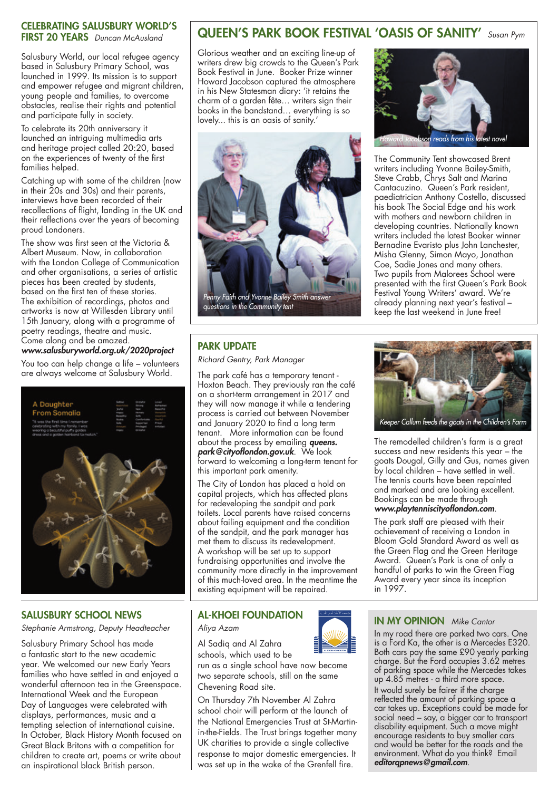#### CELEBRATING SALUSBURY WORLD'S FIRST 20 YEARS *Duncan McAusland*

Salusbury World, our local refugee agency based in Salusbury Primary School, was launched in 1999. Its mission is to support and empower refugee and migrant children, young people and families, to overcome obstacles, realise their rights and potential and participate fully in society.

To celebrate its 20th anniversary it launched an intriguing multimedia arts and heritage project called 20:20, based on the experiences of twenty of the first families helped.

Catching up with some of the children (now in their 20s and 30s) and their parents, interviews have been recorded of their recollections of flight, landing in the UK and their reflections over the years of becoming proud Londoners.

The show was first seen at the Victoria & Albert Museum. Now, in collaboration with the London College of Communication and other organisations, a series of artistic pieces has been created by students, based on the first ten of these stories. The exhibition of recordings, photos and artworks is now at Willesden Library until 15th January, along with a programme of poetry readings, theatre and music. Come along and be amazed.

*www.salusburyworld.org.uk/2020project*

You too can help change a life – volunteers are always welcome at Salusbury World.



## SALUSBURY SCHOOL NEWS

*Stephanie Armstrong, Deputy Headteacher*

Salusbury Primary School has made a fantastic start to the new academic year. We welcomed our new Early Years families who have settled in and enjoyed a wonderful afternoon tea in the Greenspace. International Week and the European Day of Languages were celebrated with displays, performances, music and a tempting selection of international cuisine. In October, Black History Month focused on Great Black Britons with a competition for children to create art, poems or write about an inspirational black British person.

## QUEEN'S PARK BOOK FESTIVAL 'OASIS OF SANITY' *Susan Pym*

Glorious weather and an exciting line-up of writers drew big crowds to the Queen's Park Book Festival in June. Booker Prize winner Howard Jacobson captured the atmosphere in his New Statesman diary: 'it retains the charm of a garden fête… writers sign their books in the bandstand… everything is so lovely... this is an oasis of sanity.'



## PARK UPDATE

*Richard Gentry, Park Manager*

The park café has a temporary tenant - Hoxton Beach. They previously ran the café on a short-term arrangement in 2017 and they will now manage it while a tendering process is carried out between November and January 2020 to find a long term tenant. More information can be found about the process by emailing *queens. park@cityoflondon.gov.uk*. We look forward to welcoming a long-term tenant for this important park amenity.

The City of London has placed a hold on capital projects, which has affected plans for redeveloping the sandpit and park toilets. Local parents have raised concerns about failing equipment and the condition of the sandpit, and the park manager has met them to discuss its redevelopment. A workshop will be set up to support fundraising opportunities and involve the community more directly in the improvement of this much-loved area. In the meantime the existing equipment will be repaired.

## AL-KHOEI FOUNDATION

*Aliya Azam*

Al Sadiq and Al Zahra schools, which used to be

run as a single school have now become two separate schools, still on the same Chevening Road site.

On Thursday 7th November Al Zahra school choir will perform at the launch of the National Emergencies Trust at St-Martinin-the-Fields. The Trust brings together many UK charities to provide a single collective response to major domestic emergencies. It was set up in the wake of the Grenfell fire.



The Community Tent showcased Brent writers including Yvonne Bailey-Smith, Steve Crabb, Chrys Salt and Marina Cantacuzino. Queen's Park resident, paediatrician Anthony Costello, discussed his book The Social Edge and his work with mothers and newborn children in developing countries. Nationally known writers included the latest Booker winner Bernadine Evaristo plus John Lanchester, Misha Glenny, Simon Mayo, Jonathan Coe, Sadie Jones and many others. Two pupils from Malorees School were presented with the first Queen's Park Book Festival Young Writers' award. We're already planning next year's festival – keep the last weekend in June free!



The remodelled children's farm is a great success and new residents this year – the goats Dougal, Gilly and Gus, names given by local children – have settled in well. The tennis courts have been repainted and marked and are looking excellent. Bookings can be made through *www.playtenniscityoflondon.com*.

The park staff are pleased with their achievement of receiving a London in Bloom Gold Standard Award as well as the Green Flag and the Green Heritage Award. Queen's Park is one of only a handful of parks to win the Green Flag Award every year since its inception in 1997.

## IN MY OPINION *Mike Cantor*

In my road there are parked two cars. One is a Ford Ka, the other is a Mercedes E320. Both cars pay the same £90 yearly parking charge. But the Ford occupies 3.62 metres of parking space while the Mercedes takes up 4.85 metres - a third more space. It would surely be fairer if the charge reflected the amount of parking space a car takes up. Exceptions could be made for social need – say, a bigger car to transport disability equipment. Such a move might encourage residents to buy smaller cars and would be better for the roads and the environment. What do you think? Email *editorqpnews@gmail.com*.

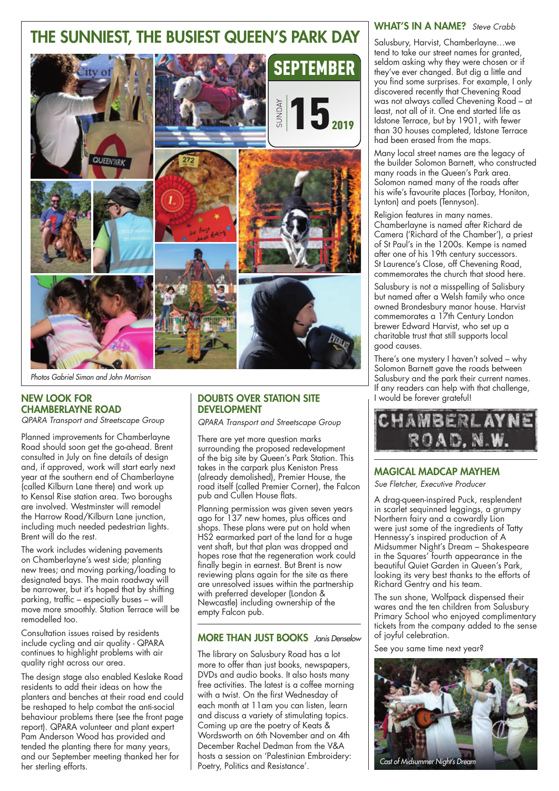

*Photos Gabriel Simon and John Morrison*

## NEW LOOK FOR CHAMBERLAYNE ROAD

*QPARA Transport and Streetscape Group*

Planned improvements for Chamberlayne Road should soon get the go-ahead. Brent consulted in July on fine details of design and, if approved, work will start early next year at the southern end of Chamberlayne (called Kilburn Lane there) and work up to Kensal Rise station area. Two boroughs are involved. Westminster will remodel the Harrow Road/Kilburn Lane junction, including much needed pedestrian lights. Brent will do the rest.

The work includes widening pavements on Chamberlayne's west side; planting new trees; and moving parking/loading to designated bays. The main roadway will be narrower, but it's hoped that by shifting parking, traffic – especially buses – will move more smoothly. Station Terrace will be remodelled too.

Consultation issues raised by residents include cycling and air quality - QPARA continues to highlight problems with air quality right across our area.

The design stage also enabled Keslake Road residents to add their ideas on how the planters and benches at their road end could be reshaped to help combat the anti-social behaviour problems there (see the front page report). QPARA volunteer and plant expert Pam Anderson Wood has provided and tended the planting there for many years, and our September meeting thanked her for her sterling efforts.

## DOUBTS OVER STATION SITE DEVELOPMENT

*QPARA Transport and Streetscape Group*

There are yet more question marks surrounding the proposed redevelopment of the big site by Queen's Park Station. This takes in the carpark plus Keniston Press (already demolished), Premier House, the road itself (called Premier Corner), the Falcon pub and Cullen House flats.

Planning permission was given seven years ago for 137 new homes, plus offices and shops. These plans were put on hold when HS2 earmarked part of the land for a huge vent shaft, but that plan was dropped and hopes rose that the regeneration work could finally begin in earnest. But Brent is now reviewing plans again for the site as there are unresolved issues within the partnership with preferred developer (London & Newcastle) including ownership of the empty Falcon pub.

## MORE THAN JUST BOOKS *Janis Denselow*

The library on Salusbury Road has a lot more to offer than just books, newspapers, DVDs and audio books. It also hosts many free activities. The latest is a coffee morning with a twist. On the first Wednesday of each month at 11am you can listen, learn and discuss a variety of stimulating topics. Coming up are the poetry of Keats & Wordsworth on 6th November and on 4th December Rachel Dedman from the V&A hosts a session on 'Palestinian Embroidery: Poetry, Politics and Resistance'.<br>Poetry, Politics and Resistance'.

#### WHAT'S IN A NAME? *Steve Crabb*

Salusbury, Harvist, Chamberlayne…we tend to take our street names for granted, seldom asking why they were chosen or if they've ever changed. But dig a little and you find some surprises. For example, I only discovered recently that Chevening Road was not always called Chevening Road – at least, not all of it. One end started life as Idstone Terrace, but by 1901, with fewer than 30 houses completed, Idstone Terrace had been erased from the maps.

Many local street names are the legacy of the builder Solomon Barnett, who constructed many roads in the Queen's Park area. Solomon named many of the roads after his wife's favourite places (Torbay, Honiton, Lynton) and poets (Tennyson).

Religion features in many names. Chamberlayne is named after Richard de Camera ('Richard of the Chamber'), a priest of St Paul's in the 1200s. Kempe is named after one of his 19th century successors. St Laurence's Close, off Chevening Road, commemorates the church that stood here.

Salusbury is not a misspelling of Salisbury but named after a Welsh family who once owned Brondesbury manor house. Harvist commemorates a 17th Century London brewer Edward Harvist, who set up a charitable trust that still supports local good causes.

There's one mystery I haven't solved – why Solomon Barnett gave the roads between Salusbury and the park their current names. If any readers can help with that challenge, would be forever grateful!



## MAGICAL MADCAP MAYHEM

*Sue Fletcher, Executive Producer*

A drag-queen-inspired Puck, resplendent in scarlet sequinned leggings, a grumpy Northern fairy and a cowardly Lion were just some of the ingredients of Tatty Hennessy's inspired production of A Midsummer Night's Dream – Shakespeare in the Squares' fourth appearance in the beautiful Quiet Garden in Queen's Park, looking its very best thanks to the efforts of Richard Gentry and his team.

The sun shone, Wolfpack dispensed their wares and the ten children from Salusbury Primary School who enjoyed complimentary tickets from the company added to the sense of joyful celebration.

See you same time next year?